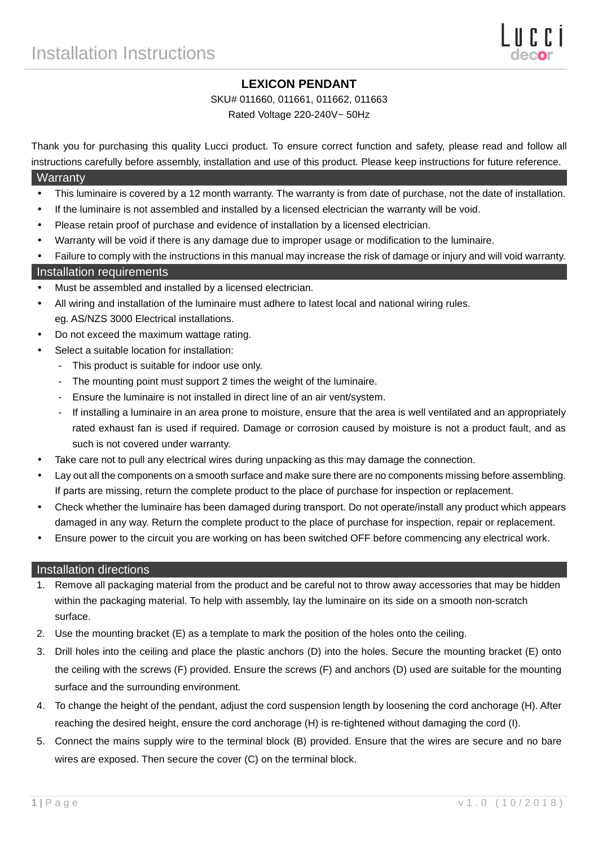# **LEXICON PENDANT**

#### SKU# 011660, 011661, 011662, 011663

Rated Voltage 220-240V~ 50Hz

Thank you for purchasing this quality Lucci product. To ensure correct function and safety, please read and follow all instructions carefully before assembly, installation and use of this product. Please keep instructions for future reference.

### **Warranty**

- This luminaire is covered by a 12 month warranty. The warranty is from date of purchase, not the date of installation.
- If the luminaire is not assembled and installed by a licensed electrician the warranty will be void.
- Please retain proof of purchase and evidence of installation by a licensed electrician.
- Warranty will be void if there is any damage due to improper usage or modification to the luminaire.
- Failure to comply with the instructions in this manual may increase the risk of damage or injury and will void warranty.

### Installation requirements

- Must be assembled and installed by a licensed electrician.
- All wiring and installation of the luminaire must adhere to latest local and national wiring rules. eg. AS/NZS 3000 Electrical installations.
- Do not exceed the maximum wattage rating.
- Select a suitable location for installation:
	- This product is suitable for indoor use only.
	- The mounting point must support 2 times the weight of the luminaire.
	- Ensure the luminaire is not installed in direct line of an air vent/system.
	- If installing a luminaire in an area prone to moisture, ensure that the area is well ventilated and an appropriately rated exhaust fan is used if required. Damage or corrosion caused by moisture is not a product fault, and as such is not covered under warranty.
- Take care not to pull any electrical wires during unpacking as this may damage the connection.
- Lay out all the components on a smooth surface and make sure there are no components missing before assembling. If parts are missing, return the complete product to the place of purchase for inspection or replacement.
- Check whether the luminaire has been damaged during transport. Do not operate/install any product which appears damaged in any way. Return the complete product to the place of purchase for inspection, repair or replacement.
- Ensure power to the circuit you are working on has been switched OFF before commencing any electrical work.

#### Installation directions

- 1. Remove all packaging material from the product and be careful not to throw away accessories that may be hidden within the packaging material. To help with assembly, lay the luminaire on its side on a smooth non-scratch surface.
- 2. Use the mounting bracket (E) as a template to mark the position of the holes onto the ceiling.
- 3. Drill holes into the ceiling and place the plastic anchors (D) into the holes. Secure the mounting bracket (E) onto the ceiling with the screws (F) provided. Ensure the screws (F) and anchors (D) used are suitable for the mounting surface and the surrounding environment.
- 4. To change the height of the pendant, adjust the cord suspension length by loosening the cord anchorage (H). After reaching the desired height, ensure the cord anchorage (H) is re-tightened without damaging the cord (I).
- 5. Connect the mains supply wire to the terminal block (B) provided. Ensure that the wires are secure and no bare wires are exposed. Then secure the cover (C) on the terminal block.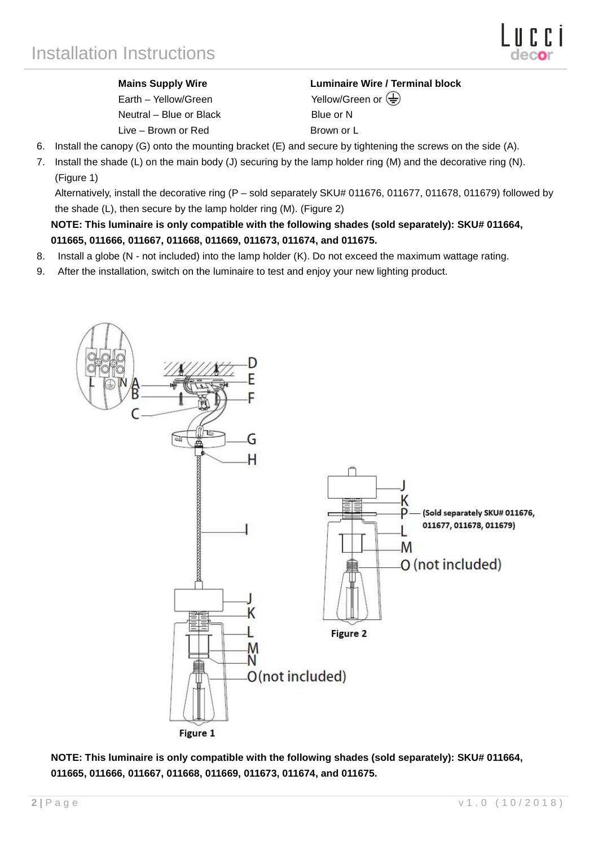Earth – Yellow/Green Yellow/Green or  $\leftarrow$ Neutral – Blue or Black Blue or N Live – Brown or Red Brown or L

**Mains Supply Wire Luminaire Wire / Terminal block** 

- 6. Install the canopy (G) onto the mounting bracket (E) and secure by tightening the screws on the side (A).
- 7. Install the shade (L) on the main body (J) securing by the lamp holder ring (M) and the decorative ring (N). (Figure 1)

Alternatively, install the decorative ring (P – sold separately SKU# 011676, 011677, 011678, 011679) followed by the shade (L), then secure by the lamp holder ring (M). (Figure 2)

**NOTE: This luminaire is only compatible with the following shades (sold separately): SKU# 011664, 011665, 011666, 011667, 011668, 011669, 011673, 011674, and 011675.** 

- 8. Install a globe (N not included) into the lamp holder (K). Do not exceed the maximum wattage rating.
- 9. After the installation, switch on the luminaire to test and enjoy your new lighting product.



**NOTE: This luminaire is only compatible with the following shades (sold separately): SKU# 011664, 011665, 011666, 011667, 011668, 011669, 011673, 011674, and 011675.**